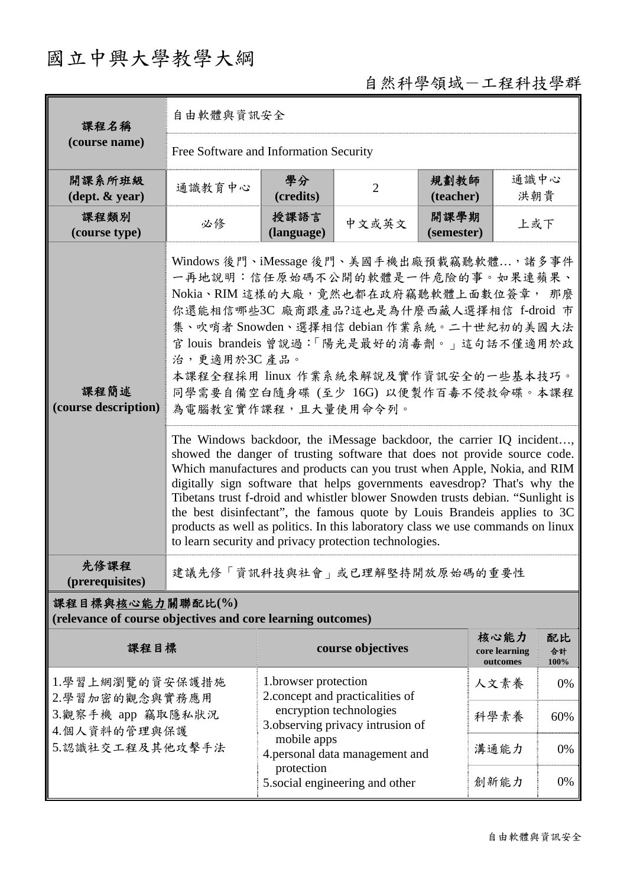## 國立中興大學教學大綱

## 自然科學領域-工程科技學群

| 課程名稱                                                                            | 自由軟體與資訊安全                                                                                                                                                                                                                                                                                                                                                                                                                                                                                                                                                                                                                                                                                                                                                                                                                                                                                                                                                                                                  |                                                                                                |                   |                    |                                   |                  |  |  |  |
|---------------------------------------------------------------------------------|------------------------------------------------------------------------------------------------------------------------------------------------------------------------------------------------------------------------------------------------------------------------------------------------------------------------------------------------------------------------------------------------------------------------------------------------------------------------------------------------------------------------------------------------------------------------------------------------------------------------------------------------------------------------------------------------------------------------------------------------------------------------------------------------------------------------------------------------------------------------------------------------------------------------------------------------------------------------------------------------------------|------------------------------------------------------------------------------------------------|-------------------|--------------------|-----------------------------------|------------------|--|--|--|
| (course name)                                                                   | Free Software and Information Security                                                                                                                                                                                                                                                                                                                                                                                                                                                                                                                                                                                                                                                                                                                                                                                                                                                                                                                                                                     |                                                                                                |                   |                    |                                   |                  |  |  |  |
| 開課系所班級<br>$(\text{dept.} \& \text{ year})$                                      | 通識教育中心                                                                                                                                                                                                                                                                                                                                                                                                                                                                                                                                                                                                                                                                                                                                                                                                                                                                                                                                                                                                     | 學分<br>(credits)                                                                                | $\overline{2}$    | 規劃教師<br>(teacher)  | 通識中心<br>洪朝貴                       |                  |  |  |  |
| 課程類別<br>(course type)                                                           | 必修                                                                                                                                                                                                                                                                                                                                                                                                                                                                                                                                                                                                                                                                                                                                                                                                                                                                                                                                                                                                         | 授課語言<br>(language)                                                                             | 中文或英文             | 開課學期<br>(semester) | 上或下                               |                  |  |  |  |
| 課程簡述<br>(course description)                                                    | Windows 後門、iMessage 後門、美國手機出廠預載竊聽軟體, 諸多事件<br>一再地說明︰信任原始碼不公開的軟體是一件危險的事。如果連蘋果、<br>Nokia、RIM 這樣的大廠,竟然也都在政府竊聽軟體上面數位簽章, 那麼<br>你還能相信哪些3C 廠商跟產品?這也是為什麼西藏人選擇相信 f-droid 市<br>集、吹哨者 Snowden、選擇相信 debian 作業系統。二十世紀初的美國大法<br>官 louis brandeis 曾說過:「陽光是最好的消毒劑。」這句話不僅適用於政<br>治,更適用於3C產品。<br>本課程全程採用 linux 作業系統來解說及實作資訊安全的一些基本技巧。<br>同學需要自備空白隨身碟 (至少 16G) 以便製作百毒不侵救命碟。本課程<br>為電腦教室實作課程,且大量使用命令列。<br>The Windows backdoor, the iMessage backdoor, the carrier IQ incident,<br>showed the danger of trusting software that does not provide source code.<br>Which manufactures and products can you trust when Apple, Nokia, and RIM<br>digitally sign software that helps governments eavesdrop? That's why the<br>Tibetans trust f-droid and whistler blower Snowden trusts debian. "Sunlight is<br>the best disinfectant", the famous quote by Louis Brandeis applies to 3C<br>products as well as politics. In this laboratory class we use commands on linux<br>to learn security and privacy protection technologies. |                                                                                                |                   |                    |                                   |                  |  |  |  |
| 先修課程<br>(prerequisites)                                                         | 建議先修「資訊科技與社會」或已理解堅持開放原始碼的重要性                                                                                                                                                                                                                                                                                                                                                                                                                                                                                                                                                                                                                                                                                                                                                                                                                                                                                                                                                                               |                                                                                                |                   |                    |                                   |                  |  |  |  |
| 課程目標與核心能力關聯配比(%)<br>(relevance of course objectives and core learning outcomes) |                                                                                                                                                                                                                                                                                                                                                                                                                                                                                                                                                                                                                                                                                                                                                                                                                                                                                                                                                                                                            |                                                                                                |                   |                    |                                   |                  |  |  |  |
| 課程目標                                                                            |                                                                                                                                                                                                                                                                                                                                                                                                                                                                                                                                                                                                                                                                                                                                                                                                                                                                                                                                                                                                            |                                                                                                | course objectives |                    | 核心能力<br>core learning<br>outcomes | 配比<br>合計<br>100% |  |  |  |
| 1.學習上網瀏覽的資安保護措施<br>2.學習加密的觀念與實務應用                                               |                                                                                                                                                                                                                                                                                                                                                                                                                                                                                                                                                                                                                                                                                                                                                                                                                                                                                                                                                                                                            | 1.browser protection<br>2. concept and practicalities of                                       |                   |                    | 人文素養                              | 0%               |  |  |  |
| 3.觀察手機 app 竊取隱私狀況<br>4.個人資料的管理與保護                                               |                                                                                                                                                                                                                                                                                                                                                                                                                                                                                                                                                                                                                                                                                                                                                                                                                                                                                                                                                                                                            | encryption technologies<br>3. observing privacy intrusion of                                   |                   |                    | 科學素養                              | 60%              |  |  |  |
| 5.認識社交工程及其他攻擊手法                                                                 |                                                                                                                                                                                                                                                                                                                                                                                                                                                                                                                                                                                                                                                                                                                                                                                                                                                                                                                                                                                                            | mobile apps<br>4.personal data management and<br>protection<br>5. social engineering and other |                   |                    | 溝通能力                              | 0%               |  |  |  |
|                                                                                 |                                                                                                                                                                                                                                                                                                                                                                                                                                                                                                                                                                                                                                                                                                                                                                                                                                                                                                                                                                                                            |                                                                                                |                   |                    | 創新能力                              | 0%               |  |  |  |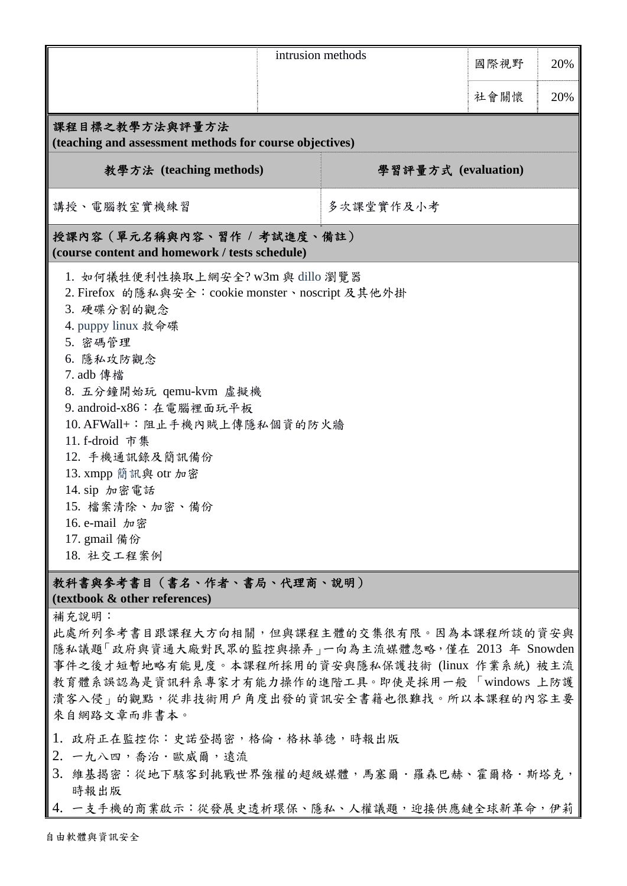|                                                                                                                                                                                                                                                                                                                                                                                                   |  | intrusion methods   | 國際視野 | 20% |  |  |  |
|---------------------------------------------------------------------------------------------------------------------------------------------------------------------------------------------------------------------------------------------------------------------------------------------------------------------------------------------------------------------------------------------------|--|---------------------|------|-----|--|--|--|
|                                                                                                                                                                                                                                                                                                                                                                                                   |  |                     | 社會關懷 | 20% |  |  |  |
| 課程目標之教學方法與評量方法<br>(teaching and assessment methods for course objectives)                                                                                                                                                                                                                                                                                                                         |  |                     |      |     |  |  |  |
| 教學方法 (teaching methods)                                                                                                                                                                                                                                                                                                                                                                           |  | 學習評量方式 (evaluation) |      |     |  |  |  |
| 講授、電腦教室實機練習                                                                                                                                                                                                                                                                                                                                                                                       |  | 多次課堂實作及小考           |      |     |  |  |  |
| 授課內容(單元名稱與內容、習作 / 考試進度、備註)<br>(course content and homework / tests schedule)                                                                                                                                                                                                                                                                                                                      |  |                     |      |     |  |  |  |
| 1. 如何犧牲便利性換取上網安全? w3m 與 dillo 瀏覽器<br>2. Firefox 的隱私與安全: cookie monster、noscript 及其他外掛<br>3. 硬碟分割的觀念<br>4. puppy linux 救命碟<br>5. 密碼管理<br>6. 隱私攻防觀念<br>7. adb 傳檔<br>8. 五分鐘開始玩 qemu-kvm 虛擬機<br>9. android-x86: 在電腦裡面玩平板<br>10. AFWall+: 阻止手機內賊上傳隱私個資的防火牆<br>11. f-droid 市集<br>12. 手機通訊錄及簡訊備份<br>13. xmpp 簡訊與 otr 加密<br>14. sip 加密電話<br>15. 檔案清除、加密、備份<br>16. e-mail 加密<br>17. gmail 備份<br>18. 社交工程案例 |  |                     |      |     |  |  |  |
| 教科書與參考書目(書名、作者、書局、代理商、說明)                                                                                                                                                                                                                                                                                                                                                                         |  |                     |      |     |  |  |  |

**(textbook & other references)**

補充說明:

此處所列參考書目跟課程大方向相關,但與課程主體的交集很有限。因為本課程所談的資安與 隱私議題「政府與資通大廠對民眾的監控與操弄」一向為主流媒體忽略,僅在 2013 年 Snowden 事件之後才短暫地略有能見度。本課程所採用的資安與隱私保護技術 (linux 作業系統) 被主流 教育體系誤認為是資訊科系專家才有能力操作的進階工具。即使是採用一般 「windows 上防護 清客入侵」的觀點,從非技術用戶角度出發的資訊安全書籍也很難找。所以本課程的內容主要 來自網路文章而非書本。

- 1. 政府正在監控你:史諾登揭密,格倫.格林華德,時報出版
- 2. 一九八四,喬治.歐威爾,遠流
- 3. 維基揭密:從地下駭客到挑戰世界強權的超級媒體,馬塞爾·羅森巴赫、霍爾格·斯塔克, 時報出版
- 4. 一支手機的商業啟示:從發展史透析環保、隱私、人權議題,迎接供應鏈全球新革命,伊莉